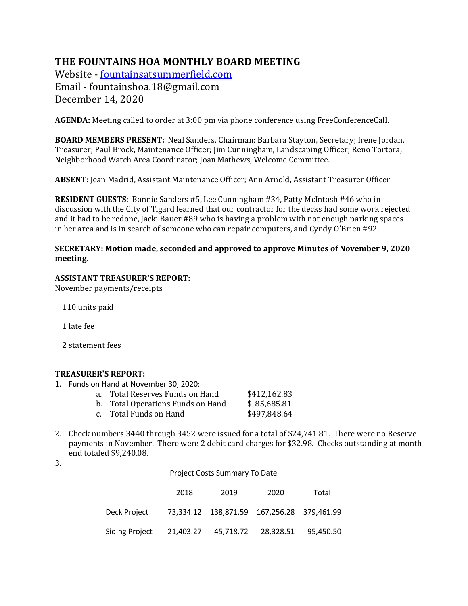# **THE FOUNTAINS HOA MONTHLY BOARD MEETING**

Website - fountainsatsummerfield.com Email - fountainshoa.18@gmail.com December 14, 2020

**AGENDA:** Meeting called to order at 3:00 pm via phone conference using FreeConferenceCall.

**BOARD MEMBERS PRESENT:** Neal Sanders, Chairman; Barbara Stayton, Secretary; Irene Jordan, Treasurer; Paul Brock, Maintenance Officer; Jim Cunningham, Landscaping Officer; Reno Tortora, Neighborhood Watch Area Coordinator; Joan Mathews, Welcome Committee.

**ABSENT:** Jean Madrid, Assistant Maintenance Officer; Ann Arnold, Assistant Treasurer Officer

**RESIDENT GUESTS:** Bonnie Sanders #5, Lee Cunningham #34, Patty McIntosh #46 who in discussion with the City of Tigard learned that our contractor for the decks had some work rejected and it had to be redone, Jacki Bauer #89 who is having a problem with not enough parking spaces in her area and is in search of someone who can repair computers, and Cyndy O'Brien #92.

#### **SECRETARY: Motion made, seconded and approved to approve Minutes of November 9, 2020 meeting**.

### **ASSISTANT TREASURER'S REPORT:**

November payments/receipts

110 units paid

 1 late fee

2 statement fees

#### **TREASURER'S REPORT:**

1. Funds on Hand at November 30, 2020:

| a.    Total Reserves Funds on Hand | \$412,162.83 |
|------------------------------------|--------------|
| b. Total Operations Funds on Hand  | \$85,685.81  |
| c.     Total Funds on Hand         | \$497,848.64 |

2. Check numbers 3440 through 3452 were issued for a total of \$24,741.81. There were no Reserve payments in November. There were 2 debit card charges for \$32.98. Checks outstanding at month end totaled \$9,240.08.

3.

|                       | Project Costs Summary To Date |                                               |      |       |
|-----------------------|-------------------------------|-----------------------------------------------|------|-------|
|                       | 2018                          | 2019                                          | 2020 | Total |
| Deck Project          |                               | 73,334.12  138,871.59  167,256.28  379,461.99 |      |       |
| <b>Siding Project</b> |                               | 21,403.27 45,718.72 28,328.51 95,450.50       |      |       |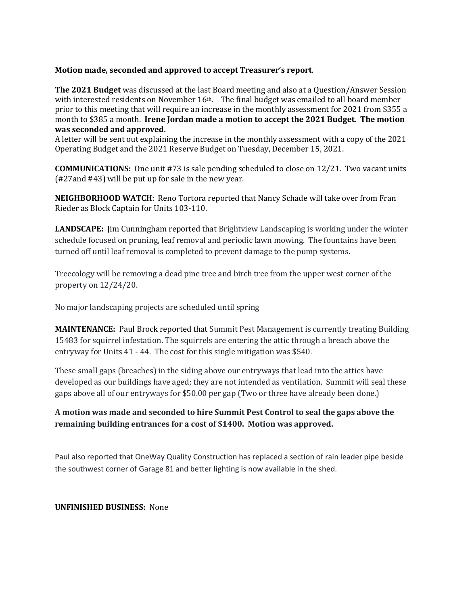#### **Motion made, seconded and approved to accept Treasurer's report.**

**The 2021 Budget** was discussed at the last Board meeting and also at a Question/Answer Session with interested residents on November  $16<sup>th</sup>$ . The final budget was emailed to all board member prior to this meeting that will require an increase in the monthly assessment for 2021 from \$355 a month to \$385 a month. Irene Jordan made a motion to accept the 2021 Budget. The motion was seconded and approved.

A letter will be sent out explaining the increase in the monthly assessment with a copy of the 2021 Operating Budget and the 2021 Reserve Budget on Tuesday, December 15, 2021.

**COMMUNICATIONS:** One unit #73 is sale pending scheduled to close on 12/21. Two vacant units  $(427$ and  $443)$  will be put up for sale in the new year.

**NEIGHBORHOOD WATCH:** Reno Tortora reported that Nancy Schade will take over from Fran Rieder as Block Captain for Units 103-110.

**LANDSCAPE:** Jim Cunningham reported that Brightview Landscaping is working under the winter schedule focused on pruning, leaf removal and periodic lawn mowing. The fountains have been turned off until leaf removal is completed to prevent damage to the pump systems.

Treecology will be removing a dead pine tree and birch tree from the upper west corner of the property on  $12/24/20$ .

No major landscaping projects are scheduled until spring

**MAINTENANCE:** Paul Brock reported that Summit Pest Management is currently treating Building 15483 for squirrel infestation. The squirrels are entering the attic through a breach above the entryway for Units  $41 - 44$ . The cost for this single mitigation was \$540.

These small gaps (breaches) in the siding above our entryways that lead into the attics have developed as our buildings have aged; they are not intended as ventilation. Summit will seal these gaps above all of our entryways for \$50.00 per gap (Two or three have already been done.)

### A motion was made and seconded to hire Summit Pest Control to seal the gaps above the remaining building entrances for a cost of \$1400. Motion was approved.

Paul also reported that OneWay Quality Construction has replaced a section of rain leader pipe beside the southwest corner of Garage 81 and better lighting is now available in the shed.

#### **UNFINISHED BUSINESS: None**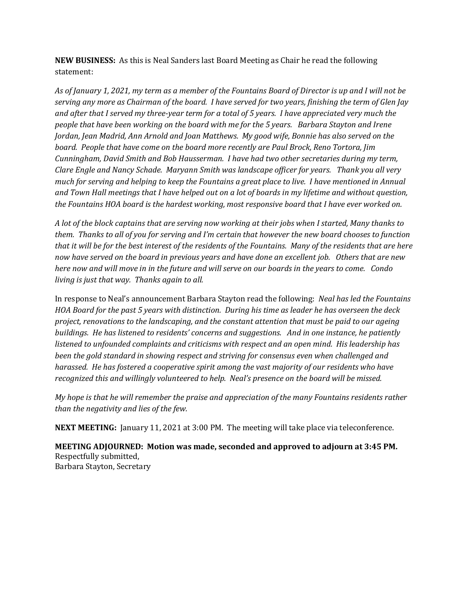**NEW BUSINESS:** As this is Neal Sanders last Board Meeting as Chair he read the following statement:

As of January 1, 2021, my term as a member of the Fountains Board of Director is up and I will not be serving any more as Chairman of the board. I have served for two years, finishing the term of Glen Jay and after that I served my three-year term for a total of 5 years. I have appreciated very much the *people that have been working on the board with me for the 5 years. Barbara Stayton and Irene Jordan, Jean Madrid, Ann Arnold and Joan Matthews. My good wife, Bonnie has also served on the board.* People that have come on the board more recently are Paul Brock, Reno Tortora, Jim *Cunningham, David Smith and Bob Hausserman. I have had two other secretaries during my term, Clare Engle and Nancy Schade. Maryann Smith was landscape officer for years. Thank you all very much* for serving and helping to keep the Fountains a great place to live. I have mentioned in Annual and Town Hall meetings that I have helped out on a lot of boards in my lifetime and without question, the Fountains HOA board is the hardest working, most responsive board that I have ever worked on.

A lot of the block captains that are serving now working at their jobs when I started, Many thanks to *them.* Thanks to all of you for serving and I'm certain that however the new board chooses to function *that* it will be for the best interest of the residents of the Fountains. Many of the residents that are here now have served on the board in previous years and have done an excellent job. Others that are new *here now and will move in in the future and will serve on our boards in the years to come. Condo living is just that way. Thanks again to all.* 

In response to Neal's announcement Barbara Stayton read the following: Neal has led the Fountains *HOA* Board for the past 5 years with distinction. During his time as leader he has overseen the deck *project, renovations to the landscaping, and the constant attention that must be paid to our ageing buildings. He has listened to residents' concerns and suggestions. And in one instance, he patiently listened to unfounded complaints and criticisms with respect and an open mind. His leadership has been the gold standard in showing respect and striving for consensus even when challenged and harassed.* He has fostered a cooperative spirit among the vast majority of our residents who have recognized this and willingly volunteered to help. Neal's presence on the board will be missed.

*My* hope is that he will remember the praise and appreciation of the many Fountains residents rather *than the negativity and lies of the few.* 

**NEXT MEETING:** January 11, 2021 at 3:00 PM. The meeting will take place via teleconference.

**MEETING ADJOURNED:** Motion was made, seconded and approved to adjourn at 3:45 PM. Respectfully submitted, Barbara Stayton, Secretary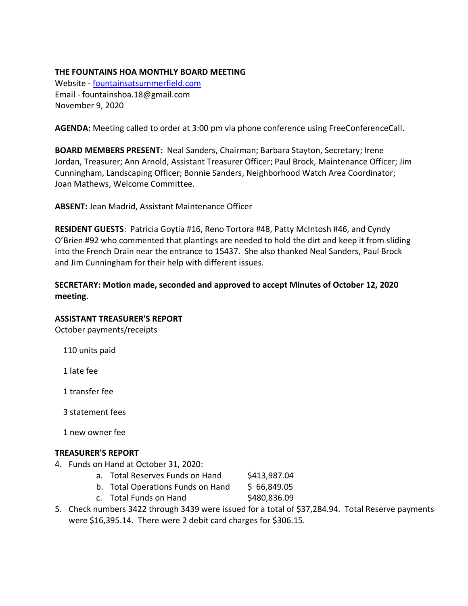### **THE FOUNTAINS HOA MONTHLY BOARD MEETING**

Website - fountainsatsummerfield.com Email - fountainshoa.18@gmail.com November 9, 2020

**AGENDA:** Meeting called to order at 3:00 pm via phone conference using FreeConferenceCall.

**BOARD MEMBERS PRESENT:** Neal Sanders, Chairman; Barbara Stayton, Secretary; Irene Jordan, Treasurer; Ann Arnold, Assistant Treasurer Officer; Paul Brock, Maintenance Officer; Jim Cunningham, Landscaping Officer; Bonnie Sanders, Neighborhood Watch Area Coordinator; Joan Mathews, Welcome Committee.

**ABSENT:** Jean Madrid, Assistant Maintenance Officer

**RESIDENT GUESTS**: Patricia Goytia #16, Reno Tortora #48, Patty McIntosh #46, and Cyndy O'Brien #92 who commented that plantings are needed to hold the dirt and keep it from sliding into the French Drain near the entrance to 15437. She also thanked Neal Sanders, Paul Brock and Jim Cunningham for their help with different issues.

**SECRETARY: Motion made, seconded and approved to accept Minutes of October 12, 2020 meeting**.

### **ASSISTANT TREASURER'S REPORT**

October payments/receipts

110 units paid

1 late fee

1 transfer fee

3 statement fees

1 new owner fee

### **TREASURER'S REPORT**

- 4. Funds on Hand at October 31, 2020:
	- a. Total Reserves Funds on Hand \$413,987.04
	- b. Total Operations Funds on Hand  $\lessgtr$  66,849.05
	- c. Total Funds on Hand \$480,836.09
- 5. Check numbers 3422 through 3439 were issued for a total of \$37,284.94. Total Reserve payments were \$16,395.14. There were 2 debit card charges for \$306.15.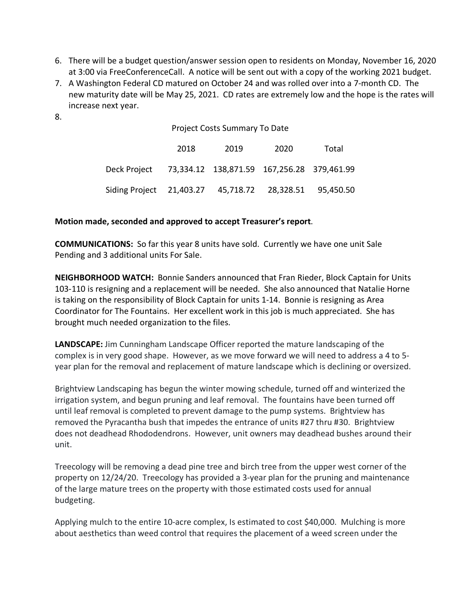- 6. There will be a budget question/answer session open to residents on Monday, November 16, 2020 at 3:00 via FreeConferenceCall. A notice will be sent out with a copy of the working 2021 budget.
- 7. A Washington Federal CD matured on October 24 and was rolled over into a 7-month CD. The new maturity date will be May 25, 2021. CD rates are extremely low and the hope is the rates will increase next year.
- 8.

Project Costs Summary To Date

|                                                         | 2018 | 2019 | 2020 | Total |
|---------------------------------------------------------|------|------|------|-------|
| Deck Project 73,334.12 138,871.59 167,256.28 379,461.99 |      |      |      |       |
| Siding Project 21,403.27 45,718.72 28,328.51 95,450.50  |      |      |      |       |

### **Motion made, seconded and approved to accept Treasurer's report**.

**COMMUNICATIONS:** So far this year 8 units have sold. Currently we have one unit Sale Pending and 3 additional units For Sale.

**NEIGHBORHOOD WATCH:** Bonnie Sanders announced that Fran Rieder, Block Captain for Units 103-110 is resigning and a replacement will be needed. She also announced that Natalie Horne is taking on the responsibility of Block Captain for units 1-14. Bonnie is resigning as Area Coordinator for The Fountains. Her excellent work in this job is much appreciated. She has brought much needed organization to the files.

**LANDSCAPE:** Jim Cunningham Landscape Officer reported the mature landscaping of the complex is in very good shape. However, as we move forward we will need to address a 4 to 5 year plan for the removal and replacement of mature landscape which is declining or oversized.

Brightview Landscaping has begun the winter mowing schedule, turned off and winterized the irrigation system, and begun pruning and leaf removal. The fountains have been turned off until leaf removal is completed to prevent damage to the pump systems. Brightview has removed the Pyracantha bush that impedes the entrance of units #27 thru #30. Brightview does not deadhead Rhododendrons. However, unit owners may deadhead bushes around their unit.

Treecology will be removing a dead pine tree and birch tree from the upper west corner of the property on 12/24/20. Treecology has provided a 3-year plan for the pruning and maintenance of the large mature trees on the property with those estimated costs used for annual budgeting.

Applying mulch to the entire 10-acre complex, Is estimated to cost \$40,000. Mulching is more about aesthetics than weed control that requires the placement of a weed screen under the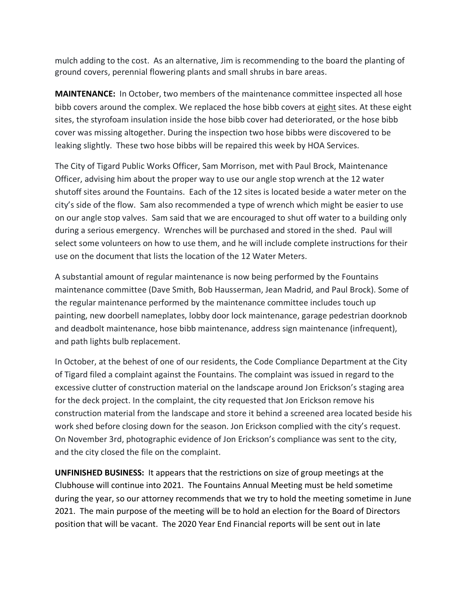mulch adding to the cost. As an alternative, Jim is recommending to the board the planting of ground covers, perennial flowering plants and small shrubs in bare areas.

**MAINTENANCE:** In October, two members of the maintenance committee inspected all hose bibb covers around the complex. We replaced the hose bibb covers at eight sites. At these eight sites, the styrofoam insulation inside the hose bibb cover had deteriorated, or the hose bibb cover was missing altogether. During the inspection two hose bibbs were discovered to be leaking slightly. These two hose bibbs will be repaired this week by HOA Services.

The City of Tigard Public Works Officer, Sam Morrison, met with Paul Brock, Maintenance Officer, advising him about the proper way to use our angle stop wrench at the 12 water shutoff sites around the Fountains. Each of the 12 sites is located beside a water meter on the city's side of the flow. Sam also recommended a type of wrench which might be easier to use on our angle stop valves. Sam said that we are encouraged to shut off water to a building only during a serious emergency. Wrenches will be purchased and stored in the shed. Paul will select some volunteers on how to use them, and he will include complete instructions for their use on the document that lists the location of the 12 Water Meters.

A substantial amount of regular maintenance is now being performed by the Fountains maintenance committee (Dave Smith, Bob Hausserman, Jean Madrid, and Paul Brock). Some of the regular maintenance performed by the maintenance committee includes touch up painting, new doorbell nameplates, lobby door lock maintenance, garage pedestrian doorknob and deadbolt maintenance, hose bibb maintenance, address sign maintenance (infrequent), and path lights bulb replacement.

In October, at the behest of one of our residents, the Code Compliance Department at the City of Tigard filed a complaint against the Fountains. The complaint was issued in regard to the excessive clutter of construction material on the landscape around Jon Erickson's staging area for the deck project. In the complaint, the city requested that Jon Erickson remove his construction material from the landscape and store it behind a screened area located beside his work shed before closing down for the season. Jon Erickson complied with the city's request. On November 3rd, photographic evidence of Jon Erickson's compliance was sent to the city, and the city closed the file on the complaint.

**UNFINISHED BUSINESS:** It appears that the restrictions on size of group meetings at the Clubhouse will continue into 2021. The Fountains Annual Meeting must be held sometime during the year, so our attorney recommends that we try to hold the meeting sometime in June 2021. The main purpose of the meeting will be to hold an election for the Board of Directors position that will be vacant. The 2020 Year End Financial reports will be sent out in late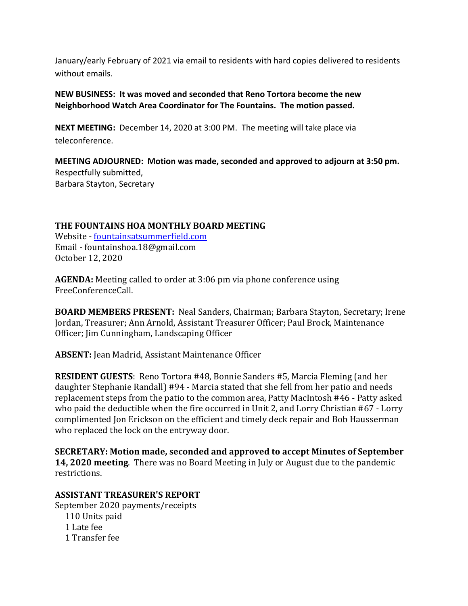January/early February of 2021 via email to residents with hard copies delivered to residents without emails.

**NEW BUSINESS: It was moved and seconded that Reno Tortora become the new Neighborhood Watch Area Coordinator for The Fountains. The motion passed.**

**NEXT MEETING:** December 14, 2020 at 3:00 PM. The meeting will take place via teleconference.

**MEETING ADJOURNED: Motion was made, seconded and approved to adjourn at 3:50 pm.**  Respectfully submitted, Barbara Stayton, Secretary

### **THE FOUNTAINS HOA MONTHLY BOARD MEETING**

Website - fountainsatsummerfield.com Email - fountainshoa.18@gmail.com October 12, 2020

**AGENDA:** Meeting called to order at 3:06 pm via phone conference using FreeConferenceCall. 

**BOARD MEMBERS PRESENT:** Neal Sanders, Chairman; Barbara Stayton, Secretary; Irene Jordan, Treasurer; Ann Arnold, Assistant Treasurer Officer; Paul Brock, Maintenance Officer; Jim Cunningham, Landscaping Officer

**ABSENT:** Jean Madrid, Assistant Maintenance Officer

**RESIDENT GUESTS:** Reno Tortora #48, Bonnie Sanders #5, Marcia Fleming (and her daughter Stephanie Randall) #94 - Marcia stated that she fell from her patio and needs replacement steps from the patio to the common area, Patty MacIntosh #46 - Patty asked who paid the deductible when the fire occurred in Unit 2, and Lorry Christian  $#67$  - Lorry complimented Jon Erickson on the efficient and timely deck repair and Bob Hausserman who replaced the lock on the entryway door.

**SECRETARY: Motion made, seconded and approved to accept Minutes of September 14, 2020 meeting**. There was no Board Meeting in July or August due to the pandemic restrictions. 

## **ASSISTANT TREASURER'S REPORT**

September 2020 payments/receipts 110 Units paid 1 Late fee 1 Transfer fee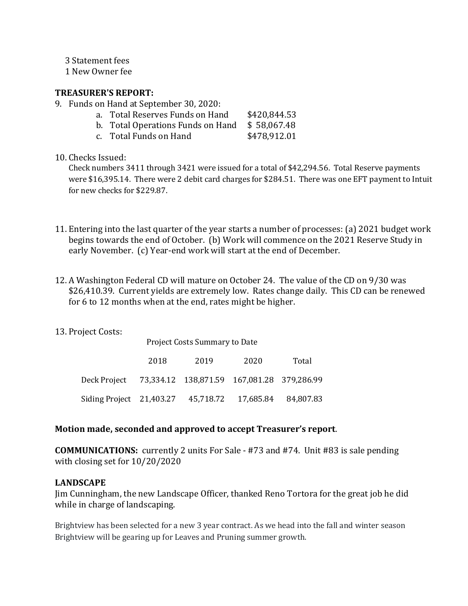3 Statement fees

1 New Owner fee

### **TREASURER'S REPORT:**

- 9. Funds on Hand at September 30, 2020:
	- a. Total Reserves Funds on Hand \$420,844.53
	- b. Total Operations Funds on Hand \$ 58,067.48
	- c. Total Funds on Hand \$478,912.01
- 10. Checks Issued:

Check numbers  $3411$  through  $3421$  were issued for a total of \$42,294.56. Total Reserve payments were \$16,395.14. There were 2 debit card charges for \$284.51. There was one EFT payment to Intuit for new checks for \$229.87.

- 11. Entering into the last quarter of the year starts a number of processes: (a) 2021 budget work begins towards the end of October. (b) Work will commence on the 2021 Reserve Study in early November. (c) Year-end work will start at the end of December.
- 12. A Washington Federal CD will mature on October 24. The value of the CD on 9/30 was \$26,410.39. Current yields are extremely low. Rates change daily. This CD can be renewed for 6 to 12 months when at the end, rates might be higher.
- 13. Project Costs:

|                                                         | <b>Project Costs Summary to Date</b> |      |      |       |  |
|---------------------------------------------------------|--------------------------------------|------|------|-------|--|
|                                                         | 2018                                 | 2019 | 2020 | Total |  |
| Deck Project 73,334.12 138,871.59 167,081.28 379,286.99 |                                      |      |      |       |  |
| Siding Project 21,403.27 45,718.72 17,685.84 84,807.83  |                                      |      |      |       |  |

### Motion made, seconded and approved to accept Treasurer's report.

**COMMUNICATIONS:** currently 2 units For Sale - #73 and #74. Unit #83 is sale pending with closing set for  $10/20/2020$ 

### **LANDSCAPE**

Jim Cunningham, the new Landscape Officer, thanked Reno Tortora for the great job he did while in charge of landscaping.

Brightview has been selected for a new 3 year contract. As we head into the fall and winter season Brightview will be gearing up for Leaves and Pruning summer growth.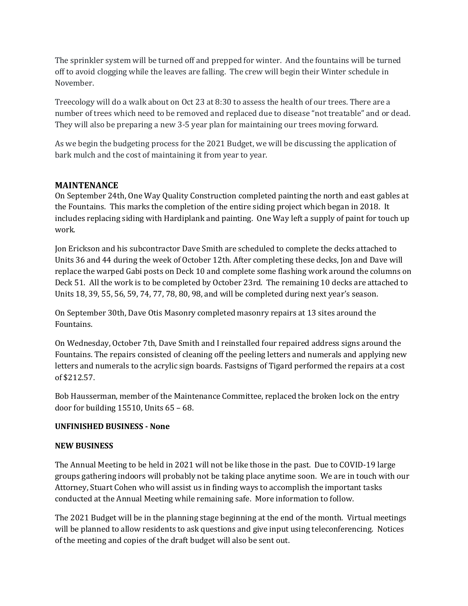The sprinkler system will be turned off and prepped for winter. And the fountains will be turned off to avoid clogging while the leaves are falling. The crew will begin their Winter schedule in November. 

Treecology will do a walk about on Oct 23 at 8:30 to assess the health of our trees. There are a number of trees which need to be removed and replaced due to disease "not treatable" and or dead. They will also be preparing a new 3-5 year plan for maintaining our trees moving forward.

As we begin the budgeting process for the 2021 Budget, we will be discussing the application of bark mulch and the cost of maintaining it from year to year.

### **MAINTENANCE**

On September 24th, One Way Quality Construction completed painting the north and east gables at the Fountains. This marks the completion of the entire siding project which began in 2018. It includes replacing siding with Hardiplank and painting. One Way left a supply of paint for touch up work.

Jon Erickson and his subcontractor Dave Smith are scheduled to complete the decks attached to Units 36 and 44 during the week of October 12th. After completing these decks, Jon and Dave will replace the warped Gabi posts on Deck 10 and complete some flashing work around the columns on Deck 51. All the work is to be completed by October 23rd. The remaining 10 decks are attached to Units  $18, 39, 55, 56, 59, 74, 77, 78, 80, 98,$  and will be completed during next year's season.

On September 30th, Dave Otis Masonry completed masonry repairs at 13 sites around the Fountains. 

On Wednesday, October 7th, Dave Smith and I reinstalled four repaired address signs around the Fountains. The repairs consisted of cleaning off the peeling letters and numerals and applying new letters and numerals to the acrylic sign boards. Fastsigns of Tigard performed the repairs at a cost of \$212.57.

Bob Hausserman, member of the Maintenance Committee, replaced the broken lock on the entry door for building  $15510$ , Units  $65 - 68$ .

### **UNFINISHED BUSINESS - None**

### **NEW BUSINESS**

The Annual Meeting to be held in 2021 will not be like those in the past. Due to COVID-19 large groups gathering indoors will probably not be taking place anytime soon. We are in touch with our Attorney, Stuart Cohen who will assist us in finding ways to accomplish the important tasks conducted at the Annual Meeting while remaining safe. More information to follow.

The 2021 Budget will be in the planning stage beginning at the end of the month. Virtual meetings will be planned to allow residents to ask questions and give input using teleconferencing. Notices of the meeting and copies of the draft budget will also be sent out.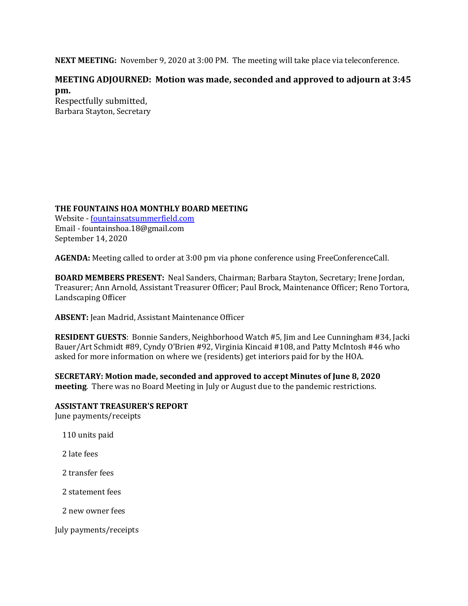**NEXT MEETING:** November 9, 2020 at 3:00 PM. The meeting will take place via teleconference.

### **MEETING ADJOURNED:** Motion was made, seconded and approved to adjourn at 3:45 **pm.**

Respectfully submitted, Barbara Stayton, Secretary

### **THE FOUNTAINS HOA MONTHLY BOARD MEETING**

Website - fountainsatsummerfield.com Email - fountainshoa.18@gmail.com September 14, 2020

**AGENDA:** Meeting called to order at 3:00 pm via phone conference using FreeConferenceCall.

**BOARD MEMBERS PRESENT:** Neal Sanders, Chairman; Barbara Stayton, Secretary; Irene Jordan, Treasurer; Ann Arnold, Assistant Treasurer Officer; Paul Brock, Maintenance Officer; Reno Tortora, Landscaping Officer

**ABSENT:** Jean Madrid, Assistant Maintenance Officer

**RESIDENT GUESTS:** Bonnie Sanders, Neighborhood Watch #5, Jim and Lee Cunningham #34, Jacki Bauer/Art Schmidt #89, Cyndy O'Brien #92, Virginia Kincaid #108, and Patty McIntosh #46 who asked for more information on where we (residents) get interiors paid for by the HOA.

**SECRETARY: Motion made, seconded and approved to accept Minutes of June 8, 2020 meeting**. There was no Board Meeting in July or August due to the pandemic restrictions.

# **ASSISTANT TREASURER'S REPORT**

June payments/receipts

110 units paid

2 late fees

2 transfer fees

2 statement fees

2 new owner fees

July payments/receipts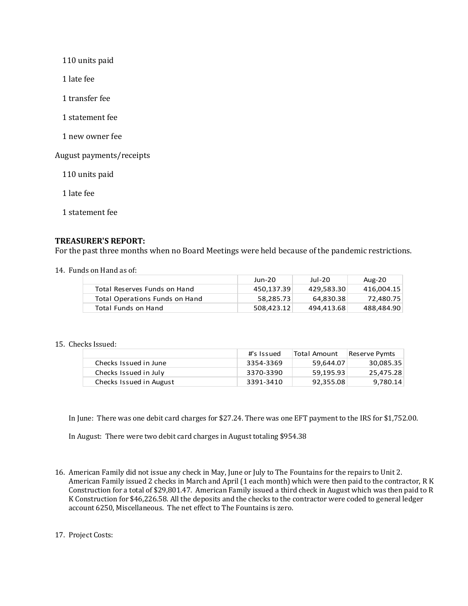110 units paid

 1 late fee

- 1 transfer fee
- 1 statement fee
- 1 new owner fee

August payments/receipts

110 units paid

 1 late fee

 1 statement fee

#### **TREASURER'S REPORT:**

For the past three months when no Board Meetings were held because of the pandemic restrictions.

14. Funds on Hand as of:

|                                | Jun-20     | Jul-20     | Aug-20     |
|--------------------------------|------------|------------|------------|
| Total Reserves Funds on Hand   | 450.137.39 | 429.583.30 | 416,004.15 |
| Total Operations Funds on Hand | 58.285.73  | 64.830.38  | 72,480.75  |
| Total Funds on Hand            | 508.423.12 | 494.413.68 | 488,484.90 |

#### 15. Checks Issued:

|                         | #'s Issued | Total Amount | Reserve Pymts |
|-------------------------|------------|--------------|---------------|
| Checks Issued in June   | 3354-3369  | 59.644.07    | 30,085.35     |
| Checks Issued in July   | 3370-3390  | 59,195.93    | 25,475.28     |
| Checks Issued in August | 3391-3410  | 92,355.08    | 9,780.14      |

In June: There was one debit card charges for  $$27.24$ . There was one EFT payment to the IRS for  $$1,752.00$ .

In August: There were two debit card charges in August totaling \$954.38

16. American Family did not issue any check in May, June or July to The Fountains for the repairs to Unit 2. American Family issued 2 checks in March and April (1 each month) which were then paid to the contractor, R K Construction for a total of \$29,801.47. American Family issued a third check in August which was then paid to R K Construction for \$46,226.58. All the deposits and the checks to the contractor were coded to general ledger account 6250, Miscellaneous. The net effect to The Fountains is zero.

17. Project Costs: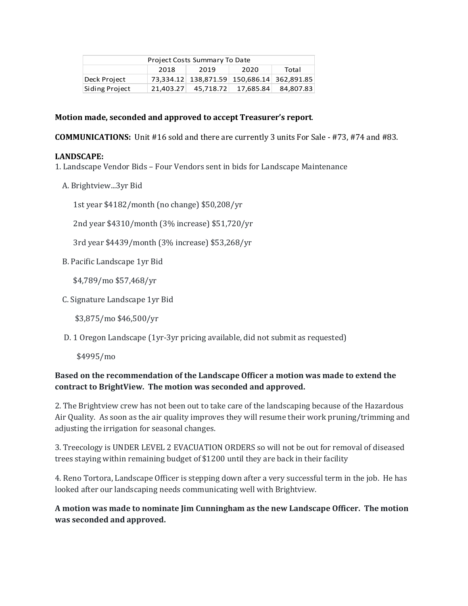| Project Costs Summary To Date |      |                                            |      |           |
|-------------------------------|------|--------------------------------------------|------|-----------|
|                               | 2018 | 2019                                       | 2020 | Total     |
| Deck Project                  |      | 73,334.12 138,871.59 150,686.14 362,891.85 |      |           |
| Siding Project                |      | 21,403.27 45,718.72 17,685.84              |      | 84,807.83 |

#### Motion made, seconded and approved to accept Treasurer's report.

**COMMUNICATIONS:** Unit #16 sold and there are currently 3 units For Sale - #73, #74 and #83.

#### **LANDSCAPE:**

- 1. Landscape Vendor Bids Four Vendors sent in bids for Landscape Maintenance
	- A. Brightview...3yr Bid

1st year  $$4182/m$ onth (no change)  $$50,208/yr$ 

2nd year \$4310/month (3% increase) \$51,720/yr

3rd year \$4439/month (3% increase) \$53,268/yr

B. Pacific Landscape 1yr Bid

\$4,789/mo \$57,468/yr

C. Signature Landscape 1yr Bid

\$3,875/mo \$46,500/yr

D. 1 Oregon Landscape  $(1yr-3yr\,$  pricing available, did not submit as requested)

\$4995/mo

### **Based on the recommendation of the Landscape Officer a motion was made to extend the** contract to BrightView. The motion was seconded and approved.

2. The Brightview crew has not been out to take care of the landscaping because of the Hazardous Air Quality. As soon as the air quality improves they will resume their work pruning/trimming and adjusting the irrigation for seasonal changes.

3. Treecology is UNDER LEVEL 2 EVACUATION ORDERS so will not be out for removal of diseased trees staying within remaining budget of \$1200 until they are back in their facility

4. Reno Tortora, Landscape Officer is stepping down after a very successful term in the job. He has looked after our landscaping needs communicating well with Brightview.

A motion was made to nominate Jim Cunningham as the new Landscape Officer. The motion was seconded and approved.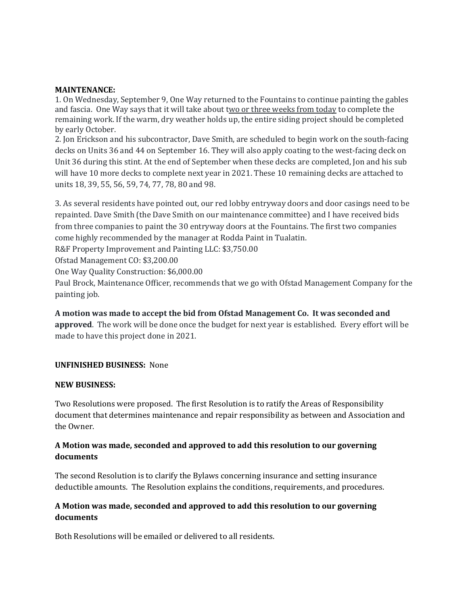#### **MAINTENANCE:**

1. On Wednesday, September 9, One Way returned to the Fountains to continue painting the gables and fascia. One Way says that it will take about two or three weeks from today to complete the remaining work. If the warm, dry weather holds up, the entire siding project should be completed by early October.

2. Jon Erickson and his subcontractor, Dave Smith, are scheduled to begin work on the south-facing decks on Units 36 and 44 on September 16. They will also apply coating to the west-facing deck on Unit 36 during this stint. At the end of September when these decks are completed, Jon and his sub will have 10 more decks to complete next year in 2021. These 10 remaining decks are attached to units 18, 39, 55, 56, 59, 74, 77, 78, 80 and 98.

3. As several residents have pointed out, our red lobby entryway doors and door casings need to be repainted. Dave Smith (the Dave Smith on our maintenance committee) and I have received bids from three companies to paint the 30 entryway doors at the Fountains. The first two companies come highly recommended by the manager at Rodda Paint in Tualatin.

R&F Property Improvement and Painting LLC: \$3,750.00

Ofstad Management CO: \$3,200.00

One Way Quality Construction: \$6,000.00

Paul Brock, Maintenance Officer, recommends that we go with Ofstad Management Company for the painting job.

A motion was made to accept the bid from Ofstad Management Co. It was seconded and **approved**. The work will be done once the budget for next year is established. Every effort will be made to have this project done in 2021.

#### **UNFINISHED BUSINESS:**  None

#### **NEW BUSINESS:**

Two Resolutions were proposed. The first Resolution is to ratify the Areas of Responsibility document that determines maintenance and repair responsibility as between and Association and the Owner.

### **A** Motion was made, seconded and approved to add this resolution to our governing **documents**

The second Resolution is to clarify the Bylaws concerning insurance and setting insurance deductible amounts. The Resolution explains the conditions, requirements, and procedures.

### **A** Motion was made, seconded and approved to add this resolution to our governing **documents**

Both Resolutions will be emailed or delivered to all residents.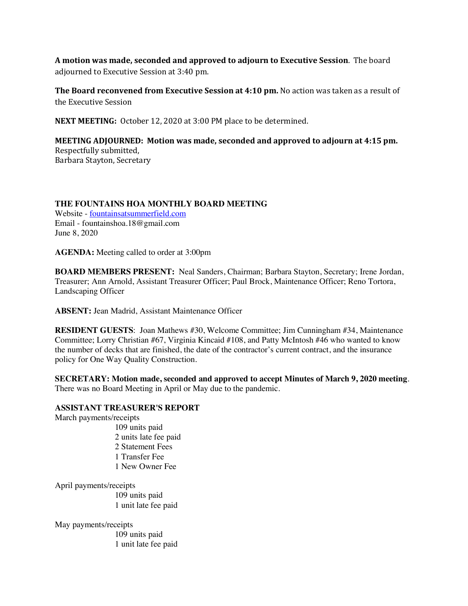**A** motion was made, seconded and approved to adjourn to Executive Session. The board adjourned to Executive Session at 3:40 pm.

**The Board reconvened from Executive Session at 4:10 pm.** No action was taken as a result of the Executive Session

**NEXT MEETING:** October 12, 2020 at 3:00 PM place to be determined.

**MEETING ADJOURNED:** Motion was made, seconded and approved to adjourn at 4:15 pm. Respectfully submitted, Barbara Stayton, Secretary

#### **THE FOUNTAINS HOA MONTHLY BOARD MEETING**

Website - fountainsatsummerfield.com Email - fountainshoa.18@gmail.com June 8, 2020

**AGENDA:** Meeting called to order at 3:00pm

**BOARD MEMBERS PRESENT:** Neal Sanders, Chairman; Barbara Stayton, Secretary; Irene Jordan, Treasurer; Ann Arnold, Assistant Treasurer Officer; Paul Brock, Maintenance Officer; Reno Tortora, Landscaping Officer

**ABSENT:** Jean Madrid, Assistant Maintenance Officer

**RESIDENT GUESTS**: Joan Mathews #30, Welcome Committee; Jim Cunningham #34, Maintenance Committee; Lorry Christian #67, Virginia Kincaid #108, and Patty McIntosh #46 who wanted to know the number of decks that are finished, the date of the contractor's current contract, and the insurance policy for One Way Quality Construction.

**SECRETARY: Motion made, seconded and approved to accept Minutes of March 9, 2020 meeting**. There was no Board Meeting in April or May due to the pandemic.

#### **ASSISTANT TREASURER'S REPORT**

March payments/receipts

109 units paid 2 units late fee paid 2 Statement Fees 1 Transfer Fee 1 New Owner Fee

April payments/receipts

109 units paid 1 unit late fee paid

May payments/receipts

109 units paid 1 unit late fee paid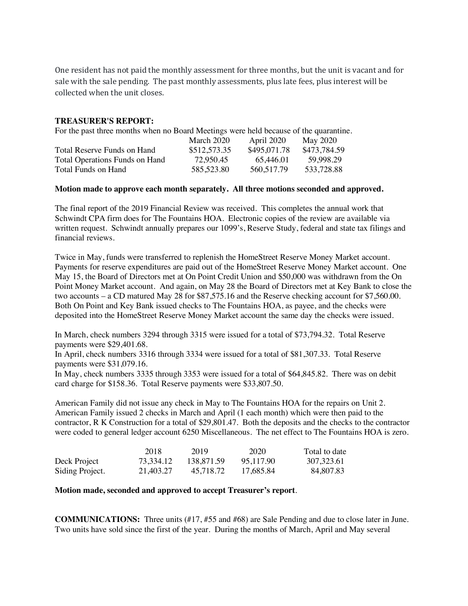One resident has not paid the monthly assessment for three months, but the unit is vacant and for sale with the sale pending. The past monthly assessments, plus late fees, plus interest will be collected when the unit closes.

#### **TREASURER'S REPORT:**

For the past three months when no Board Meetings were held because of the quarantine.

|                                       | March 2020   | April 2020   | May 2020     |
|---------------------------------------|--------------|--------------|--------------|
| Total Reserve Funds on Hand           | \$512,573.35 | \$495,071.78 | \$473,784.59 |
| <b>Total Operations Funds on Hand</b> | 72.950.45    | 65.446.01    | 59.998.29    |
| Total Funds on Hand                   | 585,523.80   | 560, 517. 79 | 533,728.88   |

#### **Motion made to approve each month separately. All three motions seconded and approved.**

The final report of the 2019 Financial Review was received. This completes the annual work that Schwindt CPA firm does for The Fountains HOA. Electronic copies of the review are available via written request. Schwindt annually prepares our 1099's, Reserve Study, federal and state tax filings and financial reviews.

Twice in May, funds were transferred to replenish the HomeStreet Reserve Money Market account. Payments for reserve expenditures are paid out of the HomeStreet Reserve Money Market account. One May 15, the Board of Directors met at On Point Credit Union and \$50,000 was withdrawn from the On Point Money Market account. And again, on May 28 the Board of Directors met at Key Bank to close the two accounts – a CD matured May 28 for \$87,575.16 and the Reserve checking account for \$7,560.00. Both On Point and Key Bank issued checks to The Fountains HOA, as payee, and the checks were deposited into the HomeStreet Reserve Money Market account the same day the checks were issued.

In March, check numbers 3294 through 3315 were issued for a total of \$73,794.32. Total Reserve payments were \$29,401.68.

In April, check numbers 3316 through 3334 were issued for a total of \$81,307.33. Total Reserve payments were \$31,079.16.

In May, check numbers 3335 through 3353 were issued for a total of \$64,845.82. There was on debit card charge for \$158.36. Total Reserve payments were \$33,807.50.

American Family did not issue any check in May to The Fountains HOA for the repairs on Unit 2. American Family issued 2 checks in March and April (1 each month) which were then paid to the contractor, R K Construction for a total of \$29,801.47. Both the deposits and the checks to the contractor were coded to general ledger account 6250 Miscellaneous. The net effect to The Fountains HOA is zero.

|                 | 2018      | 2019       | 2020      | Total to date |
|-----------------|-----------|------------|-----------|---------------|
| Deck Project    | 73.334.12 | 138.871.59 | 95.117.90 | 307,323.61    |
| Siding Project. | 21.403.27 | 45.718.72  | 17.685.84 | 84,807.83     |

#### **Motion made, seconded and approved to accept Treasurer's report**.

**COMMUNICATIONS:** Three units (#17, #55 and #68) are Sale Pending and due to close later in June. Two units have sold since the first of the year. During the months of March, April and May several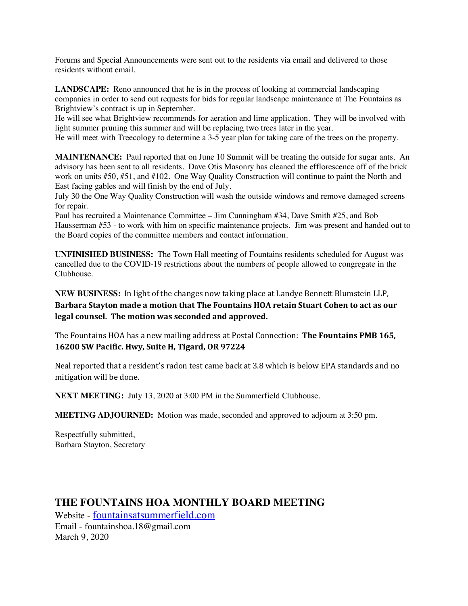Forums and Special Announcements were sent out to the residents via email and delivered to those residents without email.

**LANDSCAPE:** Reno announced that he is in the process of looking at commercial landscaping companies in order to send out requests for bids for regular landscape maintenance at The Fountains as Brightview's contract is up in September.

He will see what Brightview recommends for aeration and lime application. They will be involved with light summer pruning this summer and will be replacing two trees later in the year.

He will meet with Treecology to determine a 3-5 year plan for taking care of the trees on the property.

**MAINTENANCE:** Paul reported that on June 10 Summit will be treating the outside for sugar ants. An advisory has been sent to all residents. Dave Otis Masonry has cleaned the efflorescence off of the brick work on units #50, #51, and #102. One Way Quality Construction will continue to paint the North and East facing gables and will finish by the end of July.

July 30 the One Way Quality Construction will wash the outside windows and remove damaged screens for repair.

Paul has recruited a Maintenance Committee – Jim Cunningham #34, Dave Smith #25, and Bob Hausserman #53 - to work with him on specific maintenance projects. Jim was present and handed out to the Board copies of the committee members and contact information.

**UNFINISHED BUSINESS:** The Town Hall meeting of Fountains residents scheduled for August was cancelled due to the COVID-19 restrictions about the numbers of people allowed to congregate in the Clubhouse.

**NEW BUSINESS:** In light of the changes now taking place at Landye Bennett Blumstein LLP, Barbara Stayton made a motion that The Fountains HOA retain Stuart Cohen to act as our legal counsel. The motion was seconded and approved.

The Fountains HOA has a new mailing address at Postal Connection: **The Fountains PMB 165, 16200 SW Pacific. Hwy, Suite H, Tigard, OR 97224** 

Neal reported that a resident's radon test came back at 3.8 which is below EPA standards and no mitigation will be done.

**NEXT MEETING:** July 13, 2020 at 3:00 PM in the Summerfield Clubhouse.

**MEETING ADJOURNED:** Motion was made, seconded and approved to adjourn at 3:50 pm.

Respectfully submitted, Barbara Stayton, Secretary

# **THE FOUNTAINS HOA MONTHLY BOARD MEETING**

Website - fountainsatsummerfield.com Email - fountainshoa.18@gmail.com March 9, 2020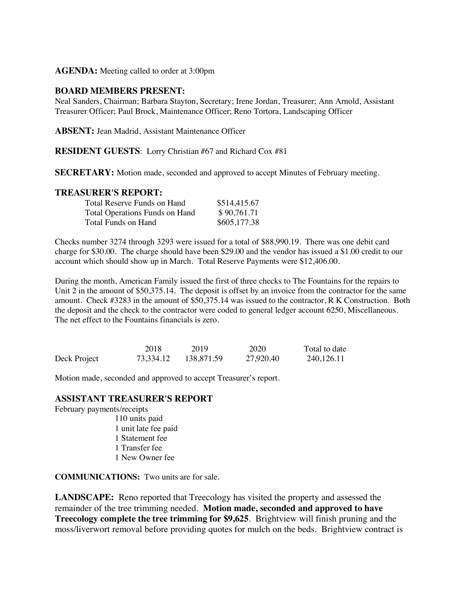**AGENDA:** Meeting called to order at 3:00pm

#### **BOARD MEMBERS PRESENT:**

Neal Sanders, Chairman; Barbara Stayton, Secretary; Irene Jordan, Treasurer; Ann Arnold, Assistant Treasurer Officer; Paul Brock, Maintenance Officer; Reno Tortora, Landscaping Officer

**ABSENT:** Jean Madrid, Assistant Maintenance Officer

#### **RESIDENT GUESTS**: Lorry Christian #67 and Richard Cox #81

**SECRETARY:** Motion made, seconded and approved to accept Minutes of February meeting.

#### **TREASURER'S REPORT:**

| Total Reserve Funds on Hand           | \$514,415.67 |
|---------------------------------------|--------------|
| <b>Total Operations Funds on Hand</b> | \$90,761.71  |
| Total Funds on Hand                   | \$605,177.38 |

Checks number 3274 through 3293 were issued for a total of \$88,990.19. There was one debit card charge for \$30.00. The charge should have been \$29.00 and the vendor has issued a \$1.00 credit to our account which should show up in March. Total Reserve Payments were \$12,406.00.

During the month, American Family issued the first of three checks to The Fountains for the repairs to Unit 2 in the amount of \$50,375.14. The deposit is offset by an invoice from the contractor for the same amount. Check #3283 in the amount of \$50,375.14 was issued to the contractor, R K Construction. Both the deposit and the check to the contractor were coded to general ledger account 6250, Miscellaneous. The net effect to the Fountains financials is zero.

|              | 2018      | 2019       | 2020      | Total to date |
|--------------|-----------|------------|-----------|---------------|
| Deck Project | 73,334.12 | 138,871.59 | 27.920.40 | 240,126.11    |

Motion made, seconded and approved to accept Treasurer's report.

#### **ASSISTANT TREASURER'S REPORT**

February payments/receipts 110 units paid

1 unit late fee paid 1 Statement fee 1 Transfer fee 1 New Owner fee

**COMMUNICATIONS:** Two units are for sale.

**LANDSCAPE:** Reno reported that Treecology has visited the property and assessed the remainder of the tree trimming needed. **Motion made, seconded and approved to have Treecology complete the tree trimming for \$9,625**. Brightview will finish pruning and the moss/liverwort removal before providing quotes for mulch on the beds. Brightview contract is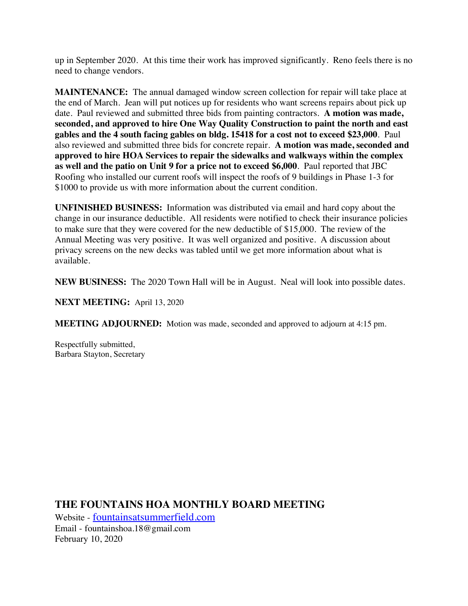up in September 2020. At this time their work has improved significantly. Reno feels there is no need to change vendors.

**MAINTENANCE:** The annual damaged window screen collection for repair will take place at the end of March. Jean will put notices up for residents who want screens repairs about pick up date. Paul reviewed and submitted three bids from painting contractors. **A motion was made, seconded, and approved to hire One Way Quality Construction to paint the north and east gables and the 4 south facing gables on bldg. 15418 for a cost not to exceed \$23,000**. Paul also reviewed and submitted three bids for concrete repair. **A motion was made, seconded and approved to hire HOA Services to repair the sidewalks and walkways within the complex as well and the patio on Unit 9 for a price not to exceed \$6,000**. Paul reported that JBC Roofing who installed our current roofs will inspect the roofs of 9 buildings in Phase 1-3 for \$1000 to provide us with more information about the current condition.

**UNFINISHED BUSINESS:** Information was distributed via email and hard copy about the change in our insurance deductible. All residents were notified to check their insurance policies to make sure that they were covered for the new deductible of \$15,000. The review of the Annual Meeting was very positive. It was well organized and positive. A discussion about privacy screens on the new decks was tabled until we get more information about what is available.

**NEW BUSINESS:** The 2020 Town Hall will be in August. Neal will look into possible dates.

**NEXT MEETING:** April 13, 2020

**MEETING ADJOURNED:** Motion was made, seconded and approved to adjourn at 4:15 pm.

Respectfully submitted, Barbara Stayton, Secretary

**THE FOUNTAINS HOA MONTHLY BOARD MEETING**

Website - fountainsatsummerfield.com Email - fountainshoa.18@gmail.com February 10, 2020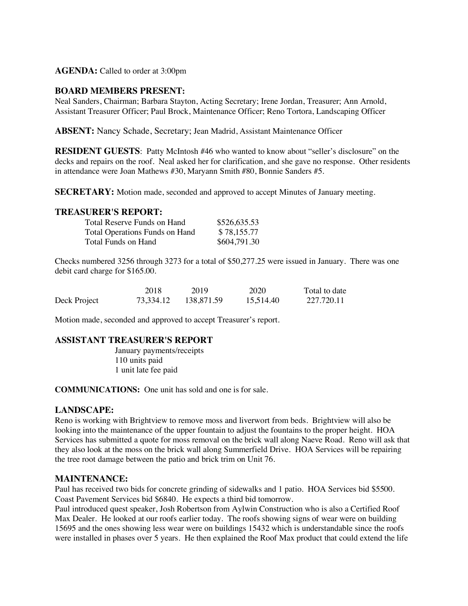#### **AGENDA:** Called to order at 3:00pm

#### **BOARD MEMBERS PRESENT:**

Neal Sanders, Chairman; Barbara Stayton, Acting Secretary; Irene Jordan, Treasurer; Ann Arnold, Assistant Treasurer Officer; Paul Brock, Maintenance Officer; Reno Tortora, Landscaping Officer

**ABSENT:** Nancy Schade, Secretary; Jean Madrid, Assistant Maintenance Officer

**RESIDENT GUESTS**: Patty McIntosh #46 who wanted to know about "seller's disclosure" on the decks and repairs on the roof. Neal asked her for clarification, and she gave no response. Other residents in attendance were Joan Mathews #30, Maryann Smith #80, Bonnie Sanders #5.

**SECRETARY:** Motion made, seconded and approved to accept Minutes of January meeting.

#### **TREASURER'S REPORT:**

| Total Reserve Funds on Hand    | \$526,635.53 |
|--------------------------------|--------------|
| Total Operations Funds on Hand | \$78,155.77  |
| Total Funds on Hand            | \$604,791.30 |

Checks numbered 3256 through 3273 for a total of \$50,277.25 were issued in January. There was one debit card charge for \$165.00.

|              | 2018      | 2019       | 2020      | Total to date |
|--------------|-----------|------------|-----------|---------------|
| Deck Project | 73,334.12 | 138,871.59 | 15.514.40 | 227.720.11    |

Motion made, seconded and approved to accept Treasurer's report.

#### **ASSISTANT TREASURER'S REPORT**

January payments/receipts 110 units paid 1 unit late fee paid

**COMMUNICATIONS:** One unit has sold and one is for sale.

#### **LANDSCAPE:**

Reno is working with Brightview to remove moss and liverwort from beds. Brightview will also be looking into the maintenance of the upper fountain to adjust the fountains to the proper height. HOA Services has submitted a quote for moss removal on the brick wall along Naeve Road. Reno will ask that they also look at the moss on the brick wall along Summerfield Drive. HOA Services will be repairing the tree root damage between the patio and brick trim on Unit 76.

#### **MAINTENANCE:**

Paul has received two bids for concrete grinding of sidewalks and 1 patio. HOA Services bid \$5500. Coast Pavement Services bid \$6840. He expects a third bid tomorrow.

Paul introduced quest speaker, Josh Robertson from Aylwin Construction who is also a Certified Roof Max Dealer. He looked at our roofs earlier today. The roofs showing signs of wear were on building 15695 and the ones showing less wear were on buildings 15432 which is understandable since the roofs were installed in phases over 5 years. He then explained the Roof Max product that could extend the life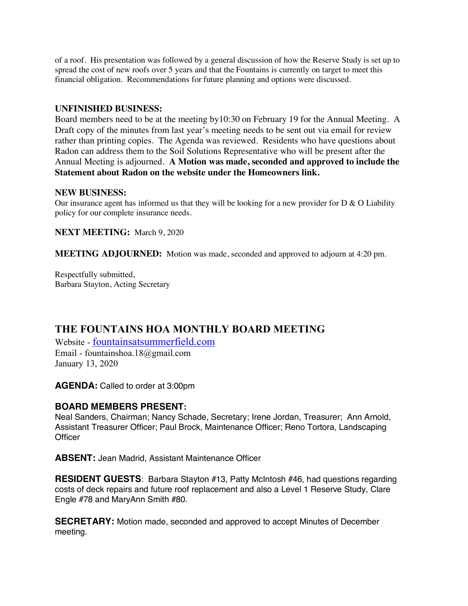of a roof. His presentation was followed by a general discussion of how the Reserve Study is set up to spread the cost of new roofs over 5 years and that the Fountains is currently on target to meet this financial obligation. Recommendations for future planning and options were discussed.

#### **UNFINISHED BUSINESS:**

Board members need to be at the meeting by10:30 on February 19 for the Annual Meeting. A Draft copy of the minutes from last year's meeting needs to be sent out via email for review rather than printing copies. The Agenda was reviewed. Residents who have questions about Radon can address them to the Soil Solutions Representative who will be present after the Annual Meeting is adjourned. **A Motion was made, seconded and approved to include the Statement about Radon on the website under the Homeowners link.**

#### **NEW BUSINESS:**

Our insurance agent has informed us that they will be looking for a new provider for  $D \& O$  Liability policy for our complete insurance needs.

**NEXT MEETING:** March 9, 2020

**MEETING ADJOURNED:** Motion was made, seconded and approved to adjourn at 4:20 pm.

Respectfully submitted, Barbara Stayton, Acting Secretary

# **THE FOUNTAINS HOA MONTHLY BOARD MEETING**

Website - fountainsatsummerfield.com Email - fountainshoa.18@gmail.com January 13, 2020

**AGENDA:** Called to order at 3:00pm

### **BOARD MEMBERS PRESENT:**

Neal Sanders, Chairman; Nancy Schade, Secretary; Irene Jordan, Treasurer; Ann Arnold, Assistant Treasurer Officer; Paul Brock, Maintenance Officer; Reno Tortora, Landscaping **Officer** 

**ABSENT:** Jean Madrid, Assistant Maintenance Officer

**RESIDENT GUESTS**: Barbara Stayton #13, Patty McIntosh #46, had questions regarding costs of deck repairs and future roof replacement and also a Level 1 Reserve Study, Clare Engle #78 and MaryAnn Smith #80.

**SECRETARY:** Motion made, seconded and approved to accept Minutes of December meeting.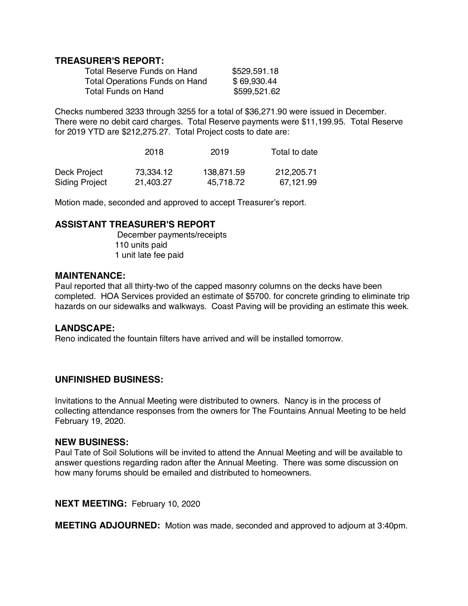### **TREASURER'S REPORT:**

| Total Reserve Funds on Hand           | \$529,591.18 |
|---------------------------------------|--------------|
| <b>Total Operations Funds on Hand</b> | \$69,930.44  |
| <b>Total Funds on Hand</b>            | \$599,521.62 |

Checks numbered 3233 through 3255 for a total of \$36,271.90 were issued in December. There were no debit card charges. Total Reserve payments were \$11,199.95. Total Reserve for 2019 YTD are \$212,275.27. Total Project costs to date are:

|                       | 2018      | 2019       | Total to date |
|-----------------------|-----------|------------|---------------|
| Deck Project          | 73,334.12 | 138,871.59 | 212,205.71    |
| <b>Siding Project</b> | 21.403.27 | 45,718.72  | 67,121.99     |

Motion made, seconded and approved to accept Treasurer's report.

### **ASSISTANT TREASURER'S REPORT**

December payments/receipts 110 units paid 1 unit late fee paid

#### **MAINTENANCE:**

Paul reported that all thirty-two of the capped masonry columns on the decks have been completed. HOA Services provided an estimate of \$5700. for concrete grinding to eliminate trip hazards on our sidewalks and walkways. Coast Paving will be providing an estimate this week.

### **LANDSCAPE:**

Reno indicated the fountain filters have arrived and will be installed tomorrow.

### **UNFINISHED BUSINESS:**

Invitations to the Annual Meeting were distributed to owners. Nancy is in the process of collecting attendance responses from the owners for The Fountains Annual Meeting to be held February 19, 2020.

#### **NEW BUSINESS:**

Paul Tate of Soil Solutions will be invited to attend the Annual Meeting and will be available to answer questions regarding radon after the Annual Meeting. There was some discussion on how many forums should be emailed and distributed to homeowners.

**NEXT MEETING:** February 10, 2020

**MEETING ADJOURNED:** Motion was made, seconded and approved to adjourn at 3:40pm.